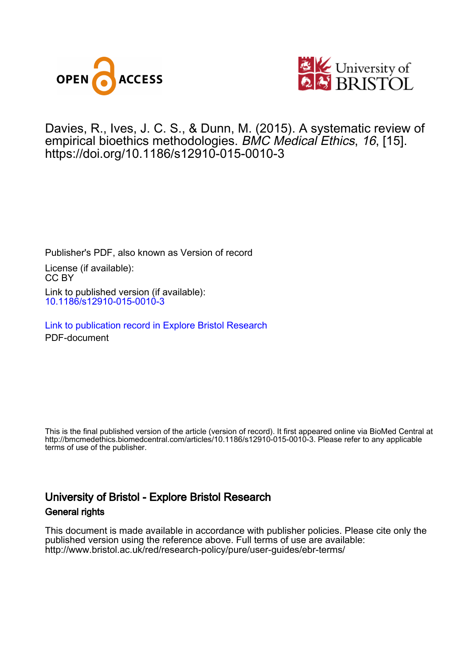



Davies, R. , Ives, J. C. S., & Dunn, M. (2015). A systematic review of empirical bioethics methodologies. BMC Medical Ethics, 16, [15]. <https://doi.org/10.1186/s12910-015-0010-3>

Publisher's PDF, also known as Version of record License (if available): CC BY Link to published version (if available): [10.1186/s12910-015-0010-3](https://doi.org/10.1186/s12910-015-0010-3)

[Link to publication record in Explore Bristol Research](https://research-information.bris.ac.uk/en/publications/3426b774-388e-4e28-a6b2-22823931ac1d) PDF-document

This is the final published version of the article (version of record). It first appeared online via BioMed Central at http://bmcmedethics.biomedcentral.com/articles/10.1186/s12910-015-0010-3. Please refer to any applicable terms of use of the publisher.

# University of Bristol - Explore Bristol Research General rights

This document is made available in accordance with publisher policies. Please cite only the published version using the reference above. Full terms of use are available: http://www.bristol.ac.uk/red/research-policy/pure/user-guides/ebr-terms/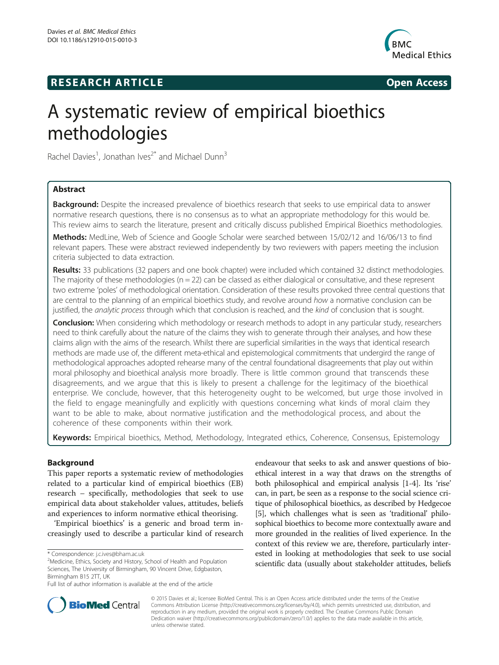# **RESEARCH ARTICLE Example 2014 The SEAR CH ACCESS**



# A systematic review of empirical bioethics methodologies

Rachel Davies<sup>1</sup>, Jonathan Ives<sup>2\*</sup> and Michael Dunn<sup>3</sup>

# Abstract

**Background:** Despite the increased prevalence of bioethics research that seeks to use empirical data to answer normative research questions, there is no consensus as to what an appropriate methodology for this would be. This review aims to search the literature, present and critically discuss published Empirical Bioethics methodologies.

Methods: MedLine, Web of Science and Google Scholar were searched between 15/02/12 and 16/06/13 to find relevant papers. These were abstract reviewed independently by two reviewers with papers meeting the inclusion criteria subjected to data extraction.

Results: 33 publications (32 papers and one book chapter) were included which contained 32 distinct methodologies. The majority of these methodologies ( $n = 22$ ) can be classed as either dialogical or consultative, and these represent two extreme 'poles' of methodological orientation. Consideration of these results provoked three central questions that are central to the planning of an empirical bioethics study, and revolve around how a normative conclusion can be justified, the *analytic process* through which that conclusion is reached, and the kind of conclusion that is sought.

**Conclusion:** When considering which methodology or research methods to adopt in any particular study, researchers need to think carefully about the nature of the claims they wish to generate through their analyses, and how these claims align with the aims of the research. Whilst there are superficial similarities in the ways that identical research methods are made use of, the different meta-ethical and epistemological commitments that undergird the range of methodological approaches adopted rehearse many of the central foundational disagreements that play out within moral philosophy and bioethical analysis more broadly. There is little common ground that transcends these disagreements, and we argue that this is likely to present a challenge for the legitimacy of the bioethical enterprise. We conclude, however, that this heterogeneity ought to be welcomed, but urge those involved in the field to engage meaningfully and explicitly with questions concerning what kinds of moral claim they want to be able to make, about normative justification and the methodological process, and about the coherence of these components within their work.

Keywords: Empirical bioethics, Method, Methodology, Integrated ethics, Coherence, Consensus, Epistemology

# Background

This paper reports a systematic review of methodologies related to a particular kind of empirical bioethics (EB) research – specifically, methodologies that seek to use empirical data about stakeholder values, attitudes, beliefs and experiences to inform normative ethical theorising.

'Empirical bioethics' is a generic and broad term increasingly used to describe a particular kind of research endeavour that seeks to ask and answer questions of bioethical interest in a way that draws on the strengths of both philosophical and empirical analysis [[1-4\]](#page-12-0). Its 'rise' can, in part, be seen as a response to the social science critique of philosophical bioethics, as described by Hedgecoe [[5\]](#page-12-0), which challenges what is seen as 'traditional' philosophical bioethics to become more contextually aware and more grounded in the realities of lived experience. In the context of this review we are, therefore, particularly interested in looking at methodologies that seek to use social scientific data (usually about stakeholder attitudes, beliefs



© 2015 Davies et al.; licensee BioMed Central. This is an Open Access article distributed under the terms of the Creative Commons Attribution License [\(http://creativecommons.org/licenses/by/4.0\)](http://creativecommons.org/licenses/by/4.0), which permits unrestricted use, distribution, and reproduction in any medium, provided the original work is properly credited. The Creative Commons Public Domain Dedication waiver [\(http://creativecommons.org/publicdomain/zero/1.0/](http://creativecommons.org/publicdomain/zero/1.0/)) applies to the data made available in this article, unless otherwise stated.

<sup>\*</sup> Correspondence: [j.c.ives@bham.ac.uk](mailto:j.c.ives@bham.ac.uk) <sup>2</sup>

<sup>&</sup>lt;sup>2</sup>Medicine, Ethics, Society and History, School of Health and Population Sciences, The University of Birmingham, 90 Vincent Drive, Edgbaston, Birmingham B15 2TT, UK

Full list of author information is available at the end of the article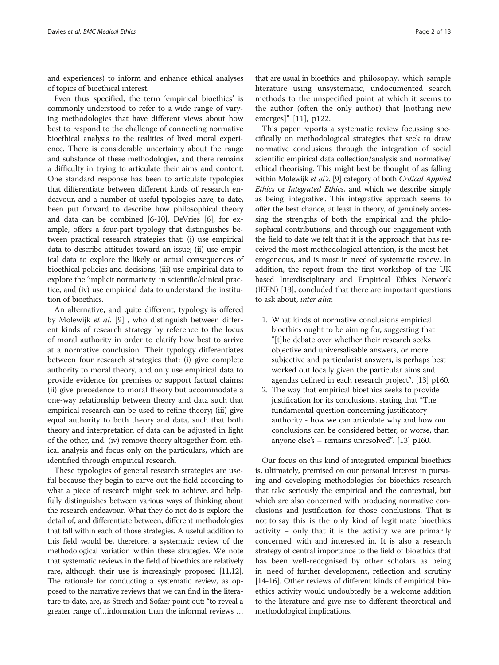and experiences) to inform and enhance ethical analyses of topics of bioethical interest.

Even thus specified, the term 'empirical bioethics' is commonly understood to refer to a wide range of varying methodologies that have different views about how best to respond to the challenge of connecting normative bioethical analysis to the realities of lived moral experience. There is considerable uncertainty about the range and substance of these methodologies, and there remains a difficulty in trying to articulate their aims and content. One standard response has been to articulate typologies that differentiate between different kinds of research endeavour, and a number of useful typologies have, to date, been put forward to describe how philosophical theory and data can be combined [\[6-10](#page-13-0)]. DeVries [[6\]](#page-13-0), for example, offers a four-part typology that distinguishes between practical research strategies that: (i) use empirical data to describe attitudes toward an issue; (ii) use empirical data to explore the likely or actual consequences of bioethical policies and decisions; (iii) use empirical data to explore the 'implicit normativity' in scientific/clinical practice, and (iv) use empirical data to understand the institution of bioethics.

An alternative, and quite different, typology is offered by Molewijk et al. [\[9](#page-13-0)] , who distinguish between different kinds of research strategy by reference to the locus of moral authority in order to clarify how best to arrive at a normative conclusion. Their typology differentiates between four research strategies that: (i) give complete authority to moral theory, and only use empirical data to provide evidence for premises or support factual claims; (ii) give precedence to moral theory but accommodate a one-way relationship between theory and data such that empirical research can be used to refine theory; (iii) give equal authority to both theory and data, such that both theory and interpretation of data can be adjusted in light of the other, and: (iv) remove theory altogether from ethical analysis and focus only on the particulars, which are identified through empirical research.

These typologies of general research strategies are useful because they begin to carve out the field according to what a piece of research might seek to achieve, and helpfully distinguishes between various ways of thinking about the research endeavour. What they do not do is explore the detail of, and differentiate between, different methodologies that fall within each of those strategies. A useful addition to this field would be, therefore, a systematic review of the methodological variation within these strategies. We note that systematic reviews in the field of bioethics are relatively rare, although their use is increasingly proposed [[11,12](#page-13-0)]. The rationale for conducting a systematic review, as opposed to the narrative reviews that we can find in the literature to date, are, as Strech and Sofaer point out: "to reveal a greater range of…information than the informal reviews …

that are usual in bioethics and philosophy, which sample literature using unsystematic, undocumented search methods to the unspecified point at which it seems to the author (often the only author) that [nothing new emerges]" [[11\]](#page-13-0), p122.

This paper reports a systematic review focussing specifically on methodological strategies that seek to draw normative conclusions through the integration of social scientific empirical data collection/analysis and normative/ ethical theorising. This might best be thought of as falling within Molewijk et al's. [\[9\]](#page-13-0) category of both Critical Applied Ethics or Integrated Ethics, and which we describe simply as being 'integrative'. This integrative approach seems to offer the best chance, at least in theory, of genuinely accessing the strengths of both the empirical and the philosophical contributions, and through our engagement with the field to date we felt that it is the approach that has received the most methodological attention, is the most heterogeneous, and is most in need of systematic review. In addition, the report from the first workshop of the UK based Interdisciplinary and Empirical Ethics Network (IEEN) [\[13](#page-13-0)], concluded that there are important questions to ask about, inter alia:

- 1. What kinds of normative conclusions empirical bioethics ought to be aiming for, suggesting that "[t]he debate over whether their research seeks objective and universalisable answers, or more subjective and particularist answers, is perhaps best worked out locally given the particular aims and agendas defined in each research project". [[13](#page-13-0)] p160.
- 2. The way that empirical bioethics seeks to provide justification for its conclusions, stating that "The fundamental question concerning justificatory authority - how we can articulate why and how our conclusions can be considered better, or worse, than anyone else's – remains unresolved". [\[13\]](#page-13-0) p160.

Our focus on this kind of integrated empirical bioethics is, ultimately, premised on our personal interest in pursuing and developing methodologies for bioethics research that take seriously the empirical and the contextual, but which are also concerned with producing normative conclusions and justification for those conclusions. That is not to say this is the only kind of legitimate bioethics activity – only that it is the activity we are primarily concerned with and interested in. It is also a research strategy of central importance to the field of bioethics that has been well-recognised by other scholars as being in need of further development, reflection and scrutiny [[14](#page-13-0)-[16\]](#page-13-0). Other reviews of different kinds of empirical bioethics activity would undoubtedly be a welcome addition to the literature and give rise to different theoretical and methodological implications.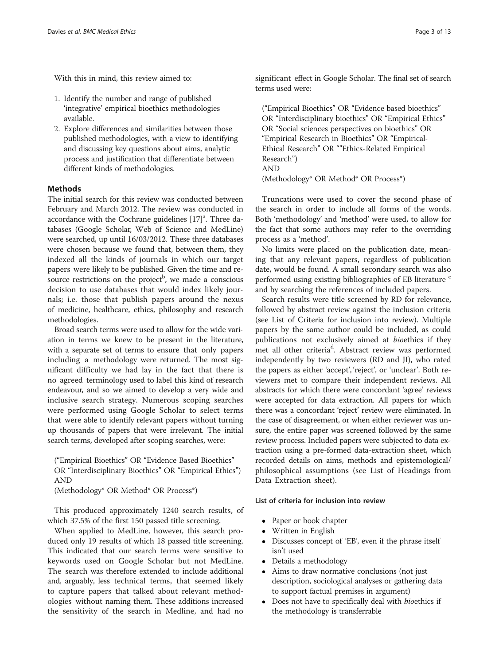With this in mind, this review aimed to:

- 1. Identify the number and range of published 'integrative' empirical bioethics methodologies available.
- 2. Explore differences and similarities between those published methodologies, with a view to identifying and discussing key questions about aims, analytic process and justification that differentiate between different kinds of methodologies.

# **Methods**

The initial search for this review was conducted between February and March 2012. The review was conducted in accordance with the Cochrane guidelines  $[17]$  $[17]$ <sup>a</sup>. Three databases (Google Scholar, Web of Science and MedLine) were searched, up until 16/03/2012. These three databases were chosen because we found that, between them, they indexed all the kinds of journals in which our target papers were likely to be published. Given the time and resource restrictions on the project<sup>b</sup>, we made a conscious decision to use databases that would index likely journals; i.e. those that publish papers around the nexus of medicine, healthcare, ethics, philosophy and research methodologies.

Broad search terms were used to allow for the wide variation in terms we knew to be present in the literature, with a separate set of terms to ensure that only papers including a methodology were returned. The most significant difficulty we had lay in the fact that there is no agreed terminology used to label this kind of research endeavour, and so we aimed to develop a very wide and inclusive search strategy. Numerous scoping searches were performed using Google Scholar to select terms that were able to identify relevant papers without turning up thousands of papers that were irrelevant. The initial search terms, developed after scoping searches, were:

("Empirical Bioethics" OR "Evidence Based Bioethics" OR "Interdisciplinary Bioethics" OR "Empirical Ethics") AND

(Methodology\* OR Method\* OR Process\*)

This produced approximately 1240 search results, of which 37.5% of the first 150 passed title screening.

When applied to MedLine, however, this search produced only 19 results of which 18 passed title screening. This indicated that our search terms were sensitive to keywords used on Google Scholar but not MedLine. The search was therefore extended to include additional and, arguably, less technical terms, that seemed likely to capture papers that talked about relevant methodologies without naming them. These additions increased the sensitivity of the search in Medline, and had no

significant effect in Google Scholar. The final set of search terms used were:

("Empirical Bioethics" OR "Evidence based bioethics" OR "Interdisciplinary bioethics" OR "Empirical Ethics" OR "Social sciences perspectives on bioethics" OR "Empirical Research in Bioethics" OR "Empirical-Ethical Research" OR ""Ethics-Related Empirical Research") AND (Methodology\* OR Method\* OR Process\*)

Truncations were used to cover the second phase of the search in order to include all forms of the words. Both 'methodology' and 'method' were used, to allow for the fact that some authors may refer to the overriding process as a 'method'.

No limits were placed on the publication date, meaning that any relevant papers, regardless of publication date, would be found. A small secondary search was also performed using existing bibliographies of EB literature <sup>c</sup> and by searching the references of included papers.

Search results were title screened by RD for relevance, followed by abstract review against the inclusion criteria (see List of Criteria for inclusion into review). Multiple papers by the same author could be included, as could publications not exclusively aimed at bioethics if they met all other criteria<sup>d</sup>. Abstract review was performed independently by two reviewers (RD and JI), who rated the papers as either 'accept', 'reject', or 'unclear'. Both reviewers met to compare their independent reviews. All abstracts for which there were concordant 'agree' reviews were accepted for data extraction. All papers for which there was a concordant 'reject' review were eliminated. In the case of disagreement, or when either reviewer was unsure, the entire paper was screened followed by the same review process. Included papers were subjected to data extraction using a pre-formed data-extraction sheet, which recorded details on aims, methods and epistemological/ philosophical assumptions (see List of Headings from Data Extraction sheet).

#### List of criteria for inclusion into review

- Paper or book chapter
- Written in English
- Discusses concept of 'EB', even if the phrase itself isn't used
- Details a methodology
- Aims to draw normative conclusions (not just description, sociological analyses or gathering data to support factual premises in argument)
- Does not have to specifically deal with *bioethics* if the methodology is transferrable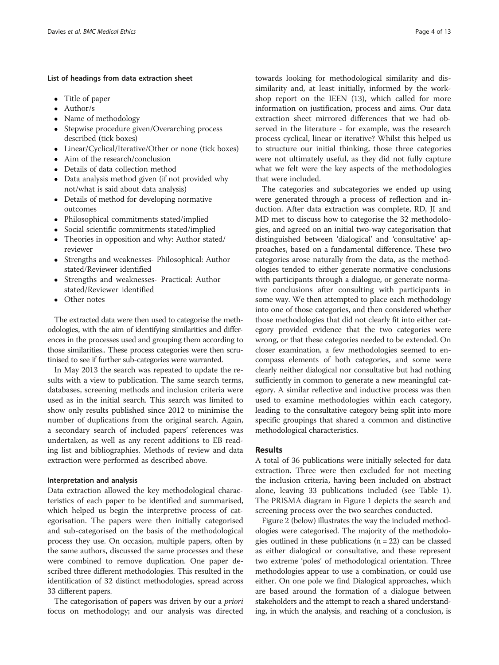#### List of headings from data extraction sheet

- Title of paper
- Author/s
- Name of methodology
- Stepwise procedure given/Overarching process described (tick boxes)
- Linear/Cyclical/Iterative/Other or none (tick boxes)
- Aim of the research/conclusion
- Details of data collection method
- Data analysis method given (if not provided why not/what is said about data analysis)
- Details of method for developing normative outcomes
- Philosophical commitments stated/implied
- Social scientific commitments stated/implied
- Theories in opposition and why: Author stated/ reviewer
- Strengths and weaknesses- Philosophical: Author stated/Reviewer identified
- Strengths and weaknesses- Practical: Author stated/Reviewer identified
- Other notes

The extracted data were then used to categorise the methodologies, with the aim of identifying similarities and differences in the processes used and grouping them according to those similarities.. These process categories were then scrutinised to see if further sub-categories were warranted.

In May 2013 the search was repeated to update the results with a view to publication. The same search terms, databases, screening methods and inclusion criteria were used as in the initial search. This search was limited to show only results published since 2012 to minimise the number of duplications from the original search. Again, a secondary search of included papers' references was undertaken, as well as any recent additions to EB reading list and bibliographies. Methods of review and data extraction were performed as described above.

#### Interpretation and analysis

Data extraction allowed the key methodological characteristics of each paper to be identified and summarised, which helped us begin the interpretive process of categorisation. The papers were then initially categorised and sub-categorised on the basis of the methodological process they use. On occasion, multiple papers, often by the same authors, discussed the same processes and these were combined to remove duplication. One paper described three different methodologies. This resulted in the identification of 32 distinct methodologies, spread across 33 different papers.

The categorisation of papers was driven by our a *priori* focus on methodology; and our analysis was directed towards looking for methodological similarity and dissimilarity and, at least initially, informed by the workshop report on the IEEN (13), which called for more information on justification, process and aims. Our data extraction sheet mirrored differences that we had observed in the literature - for example, was the research process cyclical, linear or iterative? Whilst this helped us to structure our initial thinking, those three categories were not ultimately useful, as they did not fully capture what we felt were the key aspects of the methodologies that were included.

The categories and subcategories we ended up using were generated through a process of reflection and induction. After data extraction was complete, RD, JI and MD met to discuss how to categorise the 32 methodologies, and agreed on an initial two-way categorisation that distinguished between 'dialogical' and 'consultative' approaches, based on a fundamental difference. These two categories arose naturally from the data, as the methodologies tended to either generate normative conclusions with participants through a dialogue, or generate normative conclusions after consulting with participants in some way. We then attempted to place each methodology into one of those categories, and then considered whether those methodologies that did not clearly fit into either category provided evidence that the two categories were wrong, or that these categories needed to be extended. On closer examination, a few methodologies seemed to encompass elements of both categories, and some were clearly neither dialogical nor consultative but had nothing sufficiently in common to generate a new meaningful category. A similar reflective and inductive process was then used to examine methodologies within each category, leading to the consultative category being split into more specific groupings that shared a common and distinctive methodological characteristics.

## Results

A total of 36 publications were initially selected for data extraction. Three were then excluded for not meeting the inclusion criteria, having been included on abstract alone, leaving 33 publications included (see Table [1](#page-5-0)). The PRISMA diagram in Figure [1](#page-7-0) depicts the search and screening process over the two searches conducted.

Figure [2](#page-8-0) (below) illustrates the way the included methodologies were categorised. The majority of the methodologies outlined in these publications  $(n = 22)$  can be classed as either dialogical or consultative, and these represent two extreme 'poles' of methodological orientation. Three methodologies appear to use a combination, or could use either. On one pole we find Dialogical approaches, which are based around the formation of a dialogue between stakeholders and the attempt to reach a shared understanding, in which the analysis, and reaching of a conclusion, is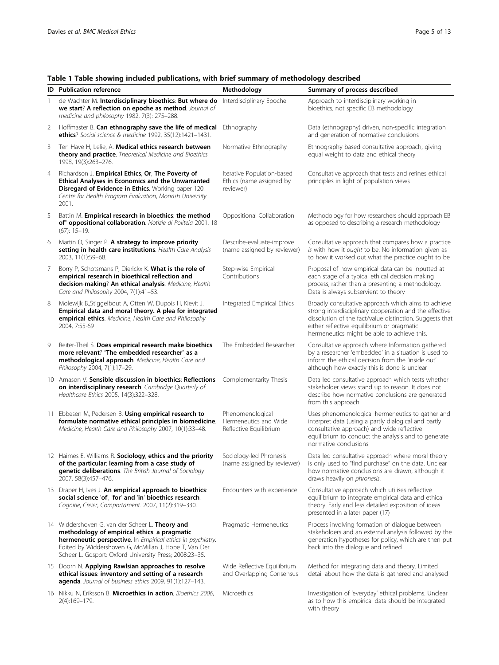# <span id="page-5-0"></span>Table 1 Table showing included publications, with brief summary of methodology described

|                | <b>THE PRIME SHOWING INCREASED PROTECTION</b> WILL DIE SUITING<br><b>ID</b> Publication reference                                                                                                                                                                                  | Methodology                                                         | of memodology acsembed<br>Summary of process described                                                                                                                                                                                                                 |
|----------------|------------------------------------------------------------------------------------------------------------------------------------------------------------------------------------------------------------------------------------------------------------------------------------|---------------------------------------------------------------------|------------------------------------------------------------------------------------------------------------------------------------------------------------------------------------------------------------------------------------------------------------------------|
|                | de Wachter M. Interdisciplinary bioethics: But where do Interdisciplinary Epoche                                                                                                                                                                                                   |                                                                     |                                                                                                                                                                                                                                                                        |
| 1              | we start? A reflection on epoche as method. Journal of<br>medicine and philosophy 1982, 7(3): 275-288.                                                                                                                                                                             |                                                                     | Approach to interdisciplinary working in<br>bioethics, not specific EB methodology                                                                                                                                                                                     |
| $\overline{2}$ | Hoffmaster B. Can ethnography save the life of medical Ethnography<br>ethics? Social science & medicine 1992, 35(12):1421-1431.                                                                                                                                                    |                                                                     | Data (ethnography) driven, non-specific integration<br>and generation of normative conclusions                                                                                                                                                                         |
| 3              | Ten Have H, Lelie, A. Medical ethics research between<br>theory and practice. Theoretical Medicine and Bioethics<br>1998, 19(3):263-276.                                                                                                                                           | Normative Ethnography                                               | Ethnography based consultative approach, giving<br>equal weight to data and ethical theory                                                                                                                                                                             |
| 4              | Richardson J. Empirical Ethics, Or, The Poverty of<br>Ethical Analyses in Economics and the Unwarranted<br>Disregard of Evidence in Ethics. Working paper 120.<br>Centre for Health Program Evaluation, Monash University<br>2001.                                                 | Iterative Population-based<br>Ethics (name assigned by<br>reviewer) | Consultative approach that tests and refines ethical<br>principles in light of population views                                                                                                                                                                        |
| 5              | Battin M. Empirical research in bioethics: the method<br>of" oppositional collaboration. Notizie di Politeia 2001, 18<br>$(67): 15-19.$                                                                                                                                            | Oppositional Collaboration                                          | Methodology for how researchers should approach EB<br>as opposed to describing a research methodology                                                                                                                                                                  |
| 6              | Martin D, Singer P. A strategy to improve priority<br>setting in health care institutions. Health Care Analysis<br>2003, 11(1):59-68.                                                                                                                                              | Describe-evaluate-improve<br>(name assigned by reviewer)            | Consultative approach that compares how a practice<br>is with how it ought to be. No information given as<br>to how it worked out what the practice ought to be                                                                                                        |
| $\overline{7}$ | Borry P, Schotsmans P, Dierickx K. What is the role of<br>empirical research in bioethical reflection and<br>decision-making? An ethical analysis. Medicine, Health<br>Care and Philosophy 2004, 7(1):41-53.                                                                       | Step-wise Empirical<br>Contributions                                | Proposal of how empirical data can be inputted at<br>each stage of a typical ethical decision making<br>process, rather than a presenting a methodology.<br>Data is always subservient to theory                                                                       |
| 8              | Molewijk B., Stiggelbout A, Otten W, Dupois H, Kievit J.<br>Empirical data and moral theory. A plea for integrated<br>empirical ethics. Medicine, Health Care and Philosophy<br>2004, 7:55-69                                                                                      | Integrated Empirical Ethics                                         | Broadly consultative approach which aims to achieve<br>strong interdisciplinary cooperation and the effective<br>dissolution of the fact/value distinction. Suggests that<br>either reflective equilibrium or pragmatic<br>hermeneutics might be able to achieve this. |
| 9              | Reiter-Theil S. Does empirical research make bioethics<br>more relevant? "The embedded researcher" as a<br>methodological approach. Medicine, Health Care and<br>Philosophy 2004, 7(1):17-29.                                                                                      | The Embedded Researcher                                             | Consultative approach where Information gathered<br>by a researcher 'embedded' in a situation is used to<br>inform the ethical decision from the 'inside out'<br>although how exactly this is done is unclear                                                          |
|                | 10 Arnason V. Sensible discussion in bioethics: Reflections<br>on interdisciplinary research. Cambridge Quarterly of<br>Healthcare Ethics 2005, 14(3):322-328.                                                                                                                     | Complementarity Thesis                                              | Data led consultative approach which tests whether<br>stakeholder views stand up to reason. It does not<br>describe how normative conclusions are generated<br>from this approach                                                                                      |
|                | 11 Ebbesen M, Pedersen B. Using empirical research to<br>formulate normative ethical principles in biomedicine.<br>Medicine, Health Care and Philosophy 2007, 10(1):33-48.                                                                                                         | Phenomenological<br>Hermeneutics and Wide<br>Reflective Equilibrium | Uses phenomenological hermeneutics to gather and<br>interpret data (using a partly dialogical and partly<br>consultative approach) and wide reflective<br>equilibrium to conduct the analysis and to generate<br>normative conclusions                                 |
|                | 12 Haimes E, Williams R. Sociology, ethics and the priority Sociology-led Phronesis<br>of the particular: learning from a case study of<br>genetic deliberations. The British Journal of Sociology<br>2007, 58(3):457-476.                                                         | (name assigned by reviewer)                                         | Data led consultative approach where moral theory<br>is only used to "find purchase" on the data. Unclear<br>how normative conclusions are drawn, although it<br>draws heavily on phronesis.                                                                           |
|                | 13 Draper H, Ives J. An empirical approach to bioethics:<br>social science 'of', 'for' and 'in' bioethics research.<br>Cognitie, Creier, Comportament. 2007, 11(2):319-330.                                                                                                        | Encounters with experience                                          | Consultative approach which utilises reflective<br>equilibrium to integrate empirical data and ethical<br>theory. Early and less detailed exposition of ideas<br>presented in a later paper (17)                                                                       |
|                | 14 Widdershoven G, van der Scheer L. Theory and<br>methodology of empirical ethics: a pragmatic<br>hermeneutic perspective. In Empirical ethics in psychiatry.<br>Edited by Widdershoven G, McMillan J, Hope T, Van Der<br>Scheer L. Gosport: Oxford University Press; 2008:23-35. | Pragmatic Hermeneutics                                              | Process involving formation of dialogue between<br>stakeholders and an external analysis followed by the<br>generation hypotheses for policy, which are then put<br>back into the dialogue and refined                                                                 |
|                | 15 Doorn N. Applying Rawlsian approaches to resolve<br>ethical issues: inventory and setting of a research<br><b>agenda</b> . Journal of business ethics 2009, 91(1):127-143.                                                                                                      | Wide Reflective Equilibrium<br>and Overlapping Consensus            | Method for integrating data and theory. Limited<br>detail about how the data is gathered and analysed                                                                                                                                                                  |
|                | 16 Nikku N, Eriksson B. Microethics in action. Bioethics 2006,<br>2(4):169-179.                                                                                                                                                                                                    | Microethics                                                         | Investigation of 'everyday' ethical problems. Unclear<br>as to how this empirical data should be integrated<br>with theory                                                                                                                                             |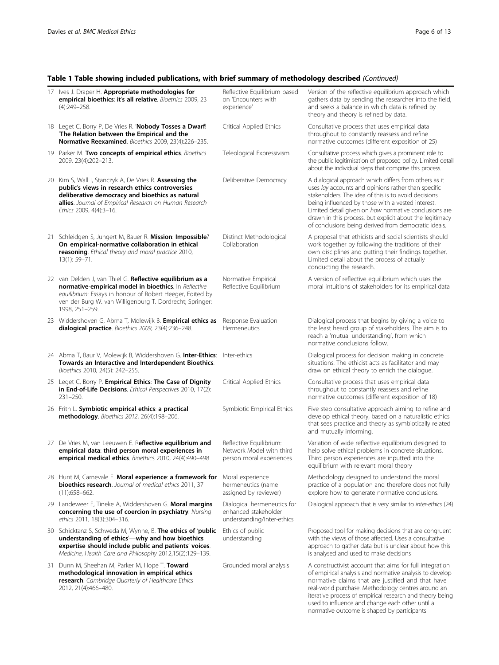# Table 1 Table showing included publications, with brief summary of methodology described (Continued)

|    | 17 Ives J. Draper H. Appropriate methodologies for<br>empirical bioethics: it's all relative. Bioethics 2009, 23<br>$(4):249-258.$                                                                                                                            | Reflective Equilibrium based<br>on 'Encounters with<br>experience'                | Version of the reflective equilibrium approach which<br>gathers data by sending the researcher into the field,<br>and seeks a balance in which data is refined by<br>theory and theory is refined by data.                                                                                                                                                                                             |
|----|---------------------------------------------------------------------------------------------------------------------------------------------------------------------------------------------------------------------------------------------------------------|-----------------------------------------------------------------------------------|--------------------------------------------------------------------------------------------------------------------------------------------------------------------------------------------------------------------------------------------------------------------------------------------------------------------------------------------------------------------------------------------------------|
|    | 18 Leget C, Borry P, De Vries R. 'Nobody Tosses a Dwarf!<br>The Relation between the Empirical and the<br>Normative Reexamined. Bioethics 2009, 23(4):226-235.                                                                                                | Critical Applied Ethics                                                           | Consultative process that uses empirical data<br>throughout to constantly reassess and refine<br>normative outcomes (different exposition of 25)                                                                                                                                                                                                                                                       |
|    | 19 Parker M. Two concepts of empirical ethics. Bioethics<br>2009, 23(4):202-213.                                                                                                                                                                              | Teleological Expressivism                                                         | Consultative process which gives a prominent role to<br>the public legitimisation of proposed policy. Limited detail<br>about the individual steps that comprise this process.                                                                                                                                                                                                                         |
|    | 20 Kim S, Wall I, Stanczyk A, De Vries R. Assessing the<br>public's views in research ethics controversies:<br>deliberative democracy and bioethics as natural<br>allies. Journal of Empirical Research on Human Research<br>Ethics 2009, 4(4):3-16.          | Deliberative Democracy                                                            | A dialogical approach which differs from others as it<br>uses lay accounts and opinions rather than specific<br>stakeholders. The idea of this is to avoid decisions<br>being influenced by those with a vested interest.<br>Limited detail given on how normative conclusions are<br>drawn in this process, but explicit about the legitimacy<br>of conclusions being derived from democratic ideals. |
|    | 21 Schleidgen S, Jungert M, Bauer R. Mission: Impossible?<br>On empirical-normative collaboration in ethical<br>reasoning. Ethical theory and moral practice 2010,<br>$13(1): 59 - 71.$                                                                       | Distinct Methodological<br>Collaboration                                          | A proposal that ethicists and social scientists should<br>work together by following the traditions of their<br>own disciplines and putting their findings together.<br>Limited detail about the process of actually<br>conducting the research.                                                                                                                                                       |
|    | 22 van Delden J, van Thiel G. Reflective equilibrium as a<br>normative-empirical model in bioethics. In Reflective<br>equilibrium: Essays in honour of Robert Heeger, Edited by<br>ven der Burg W. van Willigenburg T. Dordrecht; Springer:<br>1998, 251-259. | Normative Empirical<br>Reflective Equilibrium                                     | A version of reflective equilibrium which uses the<br>moral intuitions of stakeholders for its empirical data                                                                                                                                                                                                                                                                                          |
|    | 23 Widdershoven G, Abma T, Molewijk B. Empirical ethics as<br>dialogical practice. Bioethics 2009, 23(4):236-248.                                                                                                                                             | Response Evaluation<br>Hermeneutics                                               | Dialogical process that begins by giving a voice to<br>the least heard group of stakeholders. The aim is to<br>reach a 'mutual understanding', from which<br>normative conclusions follow.                                                                                                                                                                                                             |
|    | 24 Abma T, Baur V, Molewijk B, Widdershoven G. Inter-Ethics: Inter-ethics<br>Towards an Interactive and Interdependent Bioethics.<br>Bioethics 2010, 24(5): 242-255.                                                                                          |                                                                                   | Dialogical process for decision making in concrete<br>situations. The ethicist acts as facilitator and may<br>draw on ethical theory to enrich the dialogue.                                                                                                                                                                                                                                           |
|    | 25 Leget C, Borry P. Empirical Ethics: The Case of Dignity<br>in End-of-Life Decisions. Ethical Perspectives 2010, 17(2):<br>$231 - 250.$                                                                                                                     | Critical Applied Ethics                                                           | Consultative process that uses empirical data<br>throughout to constantly reassess and refine<br>normative outcomes (different exposition of 18)                                                                                                                                                                                                                                                       |
|    | 26 Frith L. Symbiotic empirical ethics: a practical<br>methodology. Bioethics 2012, 26(4):198-206.                                                                                                                                                            | Symbiotic Empirical Ethics                                                        | Five step consultative approach aiming to refine and<br>develop ethical theory, based on a naturalistic ethics<br>that sees practice and theory as symbiotically related<br>and mutually informing.                                                                                                                                                                                                    |
|    | 27 De Vries M, van Leeuwen E. Reflective equilibrium and<br>empirical data: third person moral experiences in<br>empirical medical ethics. Bioethics 2010, 24(4):490-498                                                                                      | Reflective Equilibrium:<br>Network Model with third<br>person moral experiences   | Variation of wide reflective equilibrium designed to<br>help solve ethical problems in concrete situations.<br>Third person experiences are inputted into the<br>equilibrium with relevant moral theory                                                                                                                                                                                                |
|    | 28 Hunt M, Carnevale F. Moral experience: a framework for<br><b>bioethics research.</b> Journal of medical ethics 2011, 37<br>$(11):658-662.$                                                                                                                 | Moral experience<br>hermeneutics (name<br>assigned by reviewer)                   | Methodology designed to understand the moral<br>practice of a population and therefore does not fully<br>explore how to generate normative conclusions.                                                                                                                                                                                                                                                |
|    | 29 Landeweer E, Tineke A, Widdershoven G. Moral margins<br>concerning the use of coercion in psychiatry. Nursing<br>ethics 2011, 18(3):304-316.                                                                                                               | Dialogical hermeneutics for<br>enhanced stakeholder<br>understanding/Inter-ethics | Dialogical approach that is very similar to <i>inter-ethics</i> (24)                                                                                                                                                                                                                                                                                                                                   |
|    | 30 Schicktanz S, Schweda M, Wynne, B. The ethics of 'public<br>understanding of ethics'-why and how bioethics<br>expertise should include public and patients' voices.<br>Medicine, Health Care and Philosophy 2012,15(2):129-139.                            | Ethics of public<br>understanding                                                 | Proposed tool for making decisions that are congruent<br>with the views of those affected. Uses a consultative<br>approach to gather data but is unclear about how this<br>is analysed and used to make decisions                                                                                                                                                                                      |
| 31 | Dunn M, Sheehan M, Parker M, Hope T. Toward<br>methodological innovation in empirical ethics<br>research. Cambridge Quarterly of Healthcare Ethics<br>2012, 21(4):466-480.                                                                                    | Grounded moral analysis                                                           | A constructivist account that aims for full integration<br>of empirical analysis and normative analysis to develop<br>normative claims that are justified and that have<br>real-world purchase. Methodology centres around an<br>iterative process of empirical research and theory being<br>used to influence and change each other until a<br>normative outcome is shaped by participants            |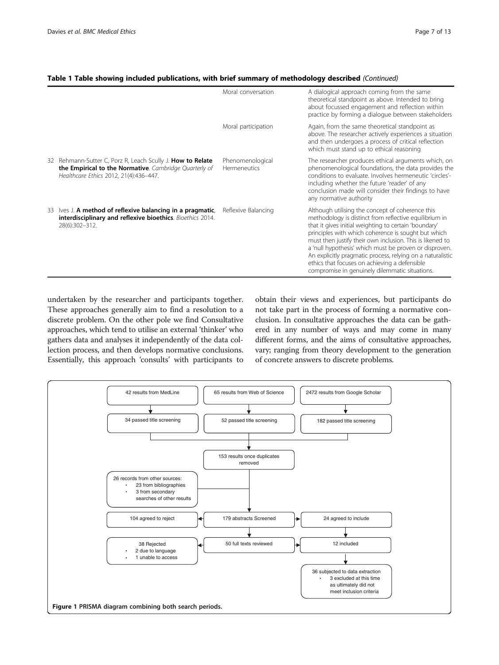|                                                                                                                                                                | Moral conversation               | A dialogical approach coming from the same<br>theoretical standpoint as above. Intended to bring<br>about focussed engagement and reflection within<br>practice by forming a dialogue between stakeholders                                                                                                                                                                                                                                                                                                         |
|----------------------------------------------------------------------------------------------------------------------------------------------------------------|----------------------------------|--------------------------------------------------------------------------------------------------------------------------------------------------------------------------------------------------------------------------------------------------------------------------------------------------------------------------------------------------------------------------------------------------------------------------------------------------------------------------------------------------------------------|
|                                                                                                                                                                | Moral participation              | Again, from the same theoretical standpoint as<br>above. The researcher actively experiences a situation<br>and then undergoes a process of critical reflection<br>which must stand up to ethical reasoning                                                                                                                                                                                                                                                                                                        |
| 32 Rehmann-Sutter C, Porz R, Leach Scully J. How to Relate<br>the Empirical to the Normative. Cambridge Quarterly of<br>Healthcare Ethics 2012, 21(4):436-447. | Phenomenological<br>Hermeneutics | The researcher produces ethical arguments which, on<br>phenomenological foundations, the data provides the<br>conditions to evaluate. Involves hermeneutic 'circles'-<br>including whether the future 'reader' of any<br>conclusion made will consider their findings to have<br>any normative authority                                                                                                                                                                                                           |
| 33 lves J. A method of reflexive balancing in a pragmatic,<br>interdisciplinary and reflexive bioethics. Bioethics 2014.<br>28(6):302-312.                     | Reflexive Balancing              | Although utilising the concept of coherence this<br>methodology is distinct from reflective equilibrium in<br>that it gives initial weighting to certain 'boundary'<br>principles with which coherence is sought but which<br>must then justify their own inclusion. This is likened to<br>a 'null hypothesis' which must be proven or disproven.<br>An explicitly pragmatic process, relying on a naturalistic<br>ethics that focuses on achieving a defensible<br>compromise in genuinely dilemmatic situations. |

#### <span id="page-7-0"></span>Table 1 Table showing included publications, with brief summary of methodology described (Continued)

undertaken by the researcher and participants together. These approaches generally aim to find a resolution to a discrete problem. On the other pole we find Consultative approaches, which tend to utilise an external 'thinker' who gathers data and analyses it independently of the data collection process, and then develops normative conclusions. Essentially, this approach 'consults' with participants to

obtain their views and experiences, but participants do not take part in the process of forming a normative conclusion. In consultative approaches the data can be gathered in any number of ways and may come in many different forms, and the aims of consultative approaches, vary; ranging from theory development to the generation of concrete answers to discrete problems.

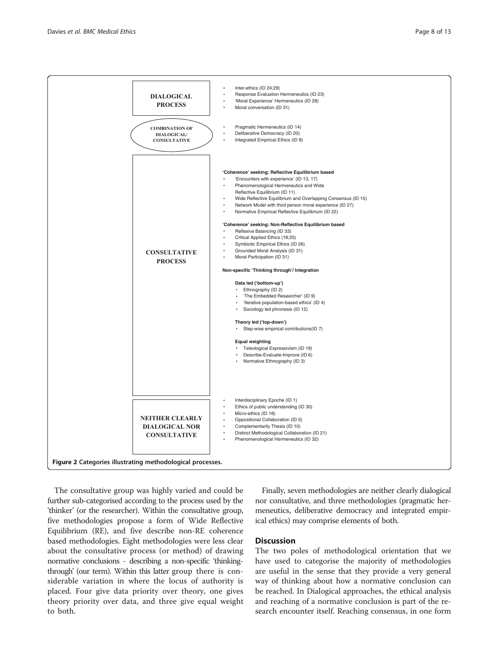

<span id="page-8-0"></span>

The consultative group was highly varied and could be further sub-categorised according to the process used by the 'thinker' (or the researcher). Within the consultative group, five methodologies propose a form of Wide Reflective Equilibrium (RE), and five describe non-RE coherence based methodologies. Eight methodologies were less clear about the consultative process (or method) of drawing normative conclusions - describing a non-specific 'thinkingthrough' (our term). Within this latter group there is considerable variation in where the locus of authority is placed. Four give data priority over theory, one gives theory priority over data, and three give equal weight to both.

Finally, seven methodologies are neither clearly dialogical nor consultative, and three methodologies (pragmatic hermeneutics, deliberative democracy and integrated empirical ethics) may comprise elements of both.

## **Discussion**

The two poles of methodological orientation that we have used to categorise the majority of methodologies are useful in the sense that they provide a very general way of thinking about how a normative conclusion can be reached. In Dialogical approaches, the ethical analysis and reaching of a normative conclusion is part of the research encounter itself. Reaching consensus, in one form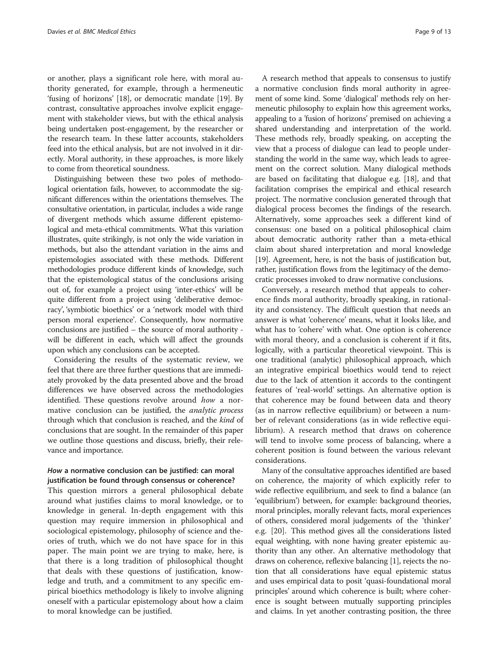or another, plays a significant role here, with moral authority generated, for example, through a hermeneutic 'fusing of horizons' [\[18\]](#page-13-0), or democratic mandate [\[19\]](#page-13-0). By contrast, consultative approaches involve explicit engagement with stakeholder views, but with the ethical analysis being undertaken post-engagement, by the researcher or the research team. In these latter accounts, stakeholders feed into the ethical analysis, but are not involved in it directly. Moral authority, in these approaches, is more likely to come from theoretical soundness.

Distinguishing between these two poles of methodological orientation fails, however, to accommodate the significant differences within the orientations themselves. The consultative orientation, in particular, includes a wide range of divergent methods which assume different epistemological and meta-ethical commitments. What this variation illustrates, quite strikingly, is not only the wide variation in methods, but also the attendant variation in the aims and epistemologies associated with these methods. Different methodologies produce different kinds of knowledge, such that the epistemological status of the conclusions arising out of, for example a project using 'inter-ethics' will be quite different from a project using 'deliberative democracy', 'symbiotic bioethics' or a 'network model with third person moral experience'. Consequently, how normative conclusions are justified – the source of moral authority will be different in each, which will affect the grounds upon which any conclusions can be accepted.

Considering the results of the systematic review, we feel that there are three further questions that are immediately provoked by the data presented above and the broad differences we have observed across the methodologies identified. These questions revolve around how a normative conclusion can be justified, the analytic process through which that conclusion is reached, and the kind of conclusions that are sought. In the remainder of this paper we outline those questions and discuss, briefly, their relevance and importance.

#### How a normative conclusion can be justified: can moral justification be found through consensus or coherence?

This question mirrors a general philosophical debate around what justifies claims to moral knowledge, or to knowledge in general. In-depth engagement with this question may require immersion in philosophical and sociological epistemology, philosophy of science and theories of truth, which we do not have space for in this paper. The main point we are trying to make, here, is that there is a long tradition of philosophical thought that deals with these questions of justification, knowledge and truth, and a commitment to any specific empirical bioethics methodology is likely to involve aligning oneself with a particular epistemology about how a claim to moral knowledge can be justified.

A research method that appeals to consensus to justify a normative conclusion finds moral authority in agreement of some kind. Some 'dialogical' methods rely on hermeneutic philosophy to explain how this agreement works, appealing to a 'fusion of horizons' premised on achieving a shared understanding and interpretation of the world. These methods rely, broadly speaking, on accepting the view that a process of dialogue can lead to people understanding the world in the same way, which leads to agreement on the correct solution. Many dialogical methods are based on facilitating that dialogue e.g. [\[18\]](#page-13-0), and that facilitation comprises the empirical and ethical research project. The normative conclusion generated through that dialogical process becomes the findings of the research. Alternatively, some approaches seek a different kind of consensus: one based on a political philosophical claim about democratic authority rather than a meta-ethical claim about shared interpretation and moral knowledge [[19](#page-13-0)]. Agreement, here, is not the basis of justification but, rather, justification flows from the legitimacy of the democratic processes invoked to draw normative conclusions.

Conversely, a research method that appeals to coherence finds moral authority, broadly speaking, in rationality and consistency. The difficult question that needs an answer is what 'coherence' means, what it looks like, and what has to 'cohere' with what. One option is coherence with moral theory, and a conclusion is coherent if it fits, logically, with a particular theoretical viewpoint. This is one traditional (analytic) philosophical approach, which an integrative empirical bioethics would tend to reject due to the lack of attention it accords to the contingent features of 'real-world' settings. An alternative option is that coherence may be found between data and theory (as in narrow reflective equilibrium) or between a number of relevant considerations (as in wide reflective equilibrium). A research method that draws on coherence will tend to involve some process of balancing, where a coherent position is found between the various relevant considerations.

Many of the consultative approaches identified are based on coherence, the majority of which explicitly refer to wide reflective equilibrium, and seek to find a balance (an 'equilibrium') between, for example: background theories, moral principles, morally relevant facts, moral experiences of others, considered moral judgements of the 'thinker' e.g. [[20\]](#page-13-0). This method gives all the considerations listed equal weighting, with none having greater epistemic authority than any other. An alternative methodology that draws on coherence, reflexive balancing [[1](#page-12-0)], rejects the notion that all considerations have equal epistemic status and uses empirical data to posit 'quasi-foundational moral principles' around which coherence is built; where coherence is sought between mutually supporting principles and claims. In yet another contrasting position, the three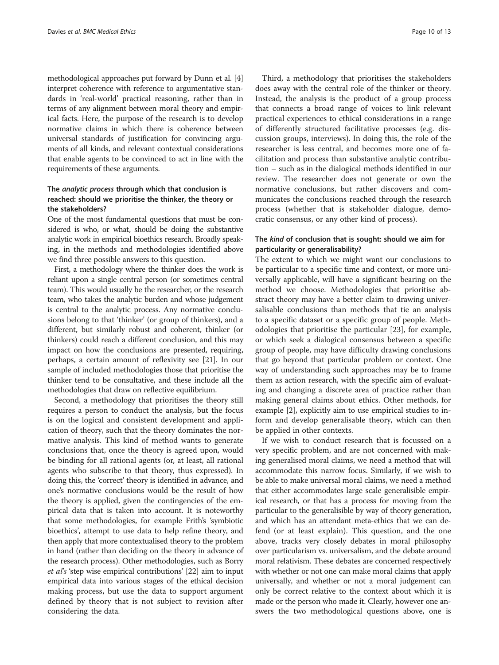methodological approaches put forward by Dunn et al. [[4](#page-12-0)] interpret coherence with reference to argumentative standards in 'real-world' practical reasoning, rather than in terms of any alignment between moral theory and empirical facts. Here, the purpose of the research is to develop normative claims in which there is coherence between universal standards of justification for convincing arguments of all kinds, and relevant contextual considerations that enable agents to be convinced to act in line with the requirements of these arguments.

# The analytic process through which that conclusion is reached: should we prioritise the thinker, the theory or the stakeholders?

One of the most fundamental questions that must be considered is who, or what, should be doing the substantive analytic work in empirical bioethics research. Broadly speaking, in the methods and methodologies identified above we find three possible answers to this question.

First, a methodology where the thinker does the work is reliant upon a single central person (or sometimes central team). This would usually be the researcher, or the research team, who takes the analytic burden and whose judgement is central to the analytic process. Any normative conclusions belong to that 'thinker' (or group of thinkers), and a different, but similarly robust and coherent, thinker (or thinkers) could reach a different conclusion, and this may impact on how the conclusions are presented, requiring, perhaps, a certain amount of reflexivity see [[21](#page-13-0)]. In our sample of included methodologies those that prioritise the thinker tend to be consultative, and these include all the methodologies that draw on reflective equilibrium.

Second, a methodology that prioritises the theory still requires a person to conduct the analysis, but the focus is on the logical and consistent development and application of theory, such that the theory dominates the normative analysis. This kind of method wants to generate conclusions that, once the theory is agreed upon, would be binding for all rational agents (or, at least, all rational agents who subscribe to that theory, thus expressed). In doing this, the 'correct' theory is identified in advance, and one's normative conclusions would be the result of how the theory is applied, given the contingencies of the empirical data that is taken into account. It is noteworthy that some methodologies, for example Frith's 'symbiotic bioethics', attempt to use data to help refine theory, and then apply that more contextualised theory to the problem in hand (rather than deciding on the theory in advance of the research process). Other methodologies, such as Borry et al's 'step wise empirical contributions' [[22](#page-13-0)] aim to input empirical data into various stages of the ethical decision making process, but use the data to support argument defined by theory that is not subject to revision after considering the data.

Third, a methodology that prioritises the stakeholders does away with the central role of the thinker or theory. Instead, the analysis is the product of a group process that connects a broad range of voices to link relevant practical experiences to ethical considerations in a range of differently structured facilitative processes (e.g. discussion groups, interviews). In doing this, the role of the researcher is less central, and becomes more one of facilitation and process than substantive analytic contribution – such as in the dialogical methods identified in our review. The researcher does not generate or own the normative conclusions, but rather discovers and communicates the conclusions reached through the research process (whether that is stakeholder dialogue, democratic consensus, or any other kind of process).

# The kind of conclusion that is sought: should we aim for particularity or generalisability?

The extent to which we might want our conclusions to be particular to a specific time and context, or more universally applicable, will have a significant bearing on the method we choose. Methodologies that prioritise abstract theory may have a better claim to drawing universalisable conclusions than methods that tie an analysis to a specific dataset or a specific group of people. Methodologies that prioritise the particular [[23\]](#page-13-0), for example, or which seek a dialogical consensus between a specific group of people, may have difficulty drawing conclusions that go beyond that particular problem or context. One way of understanding such approaches may be to frame them as action research, with the specific aim of evaluating and changing a discrete area of practice rather than making general claims about ethics. Other methods, for example [[2\]](#page-12-0), explicitly aim to use empirical studies to inform and develop generalisable theory, which can then be applied in other contexts.

If we wish to conduct research that is focussed on a very specific problem, and are not concerned with making generalised moral claims, we need a method that will accommodate this narrow focus. Similarly, if we wish to be able to make universal moral claims, we need a method that either accommodates large scale generalisible empirical research, or that has a process for moving from the particular to the generalisible by way of theory generation, and which has an attendant meta-ethics that we can defend (or at least explain). This question, and the one above, tracks very closely debates in moral philosophy over particularism vs. universalism, and the debate around moral relativism. These debates are concerned respectively with whether or not one can make moral claims that apply universally, and whether or not a moral judgement can only be correct relative to the context about which it is made or the person who made it. Clearly, however one answers the two methodological questions above, one is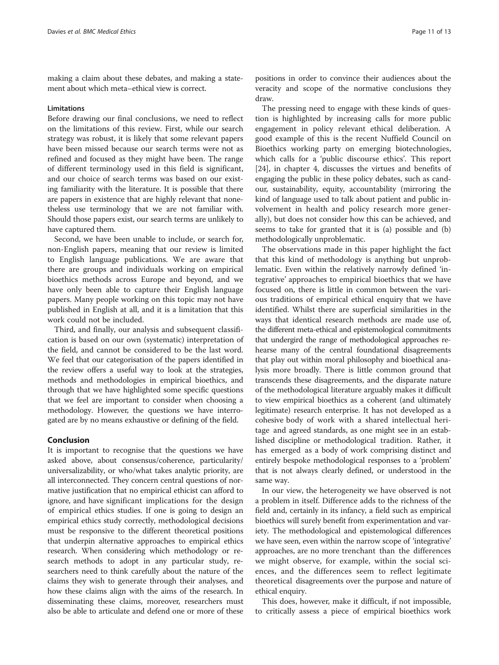making a claim about these debates, and making a statement about which meta–ethical view is correct.

#### Limitations

Before drawing our final conclusions, we need to reflect on the limitations of this review. First, while our search strategy was robust, it is likely that some relevant papers have been missed because our search terms were not as refined and focused as they might have been. The range of different terminology used in this field is significant, and our choice of search terms was based on our existing familiarity with the literature. It is possible that there are papers in existence that are highly relevant that nonetheless use terminology that we are not familiar with. Should those papers exist, our search terms are unlikely to have captured them.

Second, we have been unable to include, or search for, non-English papers, meaning that our review is limited to English language publications. We are aware that there are groups and individuals working on empirical bioethics methods across Europe and beyond, and we have only been able to capture their English language papers. Many people working on this topic may not have published in English at all, and it is a limitation that this work could not be included.

Third, and finally, our analysis and subsequent classification is based on our own (systematic) interpretation of the field, and cannot be considered to be the last word. We feel that our categorisation of the papers identified in the review offers a useful way to look at the strategies, methods and methodologies in empirical bioethics, and through that we have highlighted some specific questions that we feel are important to consider when choosing a methodology. However, the questions we have interrogated are by no means exhaustive or defining of the field.

#### Conclusion

It is important to recognise that the questions we have asked above, about consensus/coherence, particularity/ universalizability, or who/what takes analytic priority, are all interconnected. They concern central questions of normative justification that no empirical ethicist can afford to ignore, and have significant implications for the design of empirical ethics studies. If one is going to design an empirical ethics study correctly, methodological decisions must be responsive to the different theoretical positions that underpin alternative approaches to empirical ethics research. When considering which methodology or research methods to adopt in any particular study, researchers need to think carefully about the nature of the claims they wish to generate through their analyses, and how these claims align with the aims of the research. In disseminating these claims, moreover, researchers must also be able to articulate and defend one or more of these

positions in order to convince their audiences about the veracity and scope of the normative conclusions they draw.

The pressing need to engage with these kinds of question is highlighted by increasing calls for more public engagement in policy relevant ethical deliberation. A good example of this is the recent Nuffield Council on Bioethics working party on emerging biotechnologies, which calls for a 'public discourse ethics'. This report [[24\]](#page-13-0), in chapter 4, discusses the virtues and benefits of engaging the public in these policy debates, such as candour, sustainability, equity, accountability (mirroring the kind of language used to talk about patient and public involvement in health and policy research more generally), but does not consider how this can be achieved, and seems to take for granted that it is (a) possible and (b) methodologically unproblematic.

The observations made in this paper highlight the fact that this kind of methodology is anything but unproblematic. Even within the relatively narrowly defined 'integrative' approaches to empirical bioethics that we have focused on, there is little in common between the various traditions of empirical ethical enquiry that we have identified. Whilst there are superficial similarities in the ways that identical research methods are made use of, the different meta-ethical and epistemological commitments that undergird the range of methodological approaches rehearse many of the central foundational disagreements that play out within moral philosophy and bioethical analysis more broadly. There is little common ground that transcends these disagreements, and the disparate nature of the methodological literature arguably makes it difficult to view empirical bioethics as a coherent (and ultimately legitimate) research enterprise. It has not developed as a cohesive body of work with a shared intellectual heritage and agreed standards, as one might see in an established discipline or methodological tradition. Rather, it has emerged as a body of work comprising distinct and entirely bespoke methodological responses to a 'problem' that is not always clearly defined, or understood in the same way.

In our view, the heterogeneity we have observed is not a problem in itself. Difference adds to the richness of the field and, certainly in its infancy, a field such as empirical bioethics will surely benefit from experimentation and variety. The methodological and epistemological differences we have seen, even within the narrow scope of 'integrative' approaches, are no more trenchant than the differences we might observe, for example, within the social sciences, and the differences seem to reflect legitimate theoretical disagreements over the purpose and nature of ethical enquiry.

This does, however, make it difficult, if not impossible, to critically assess a piece of empirical bioethics work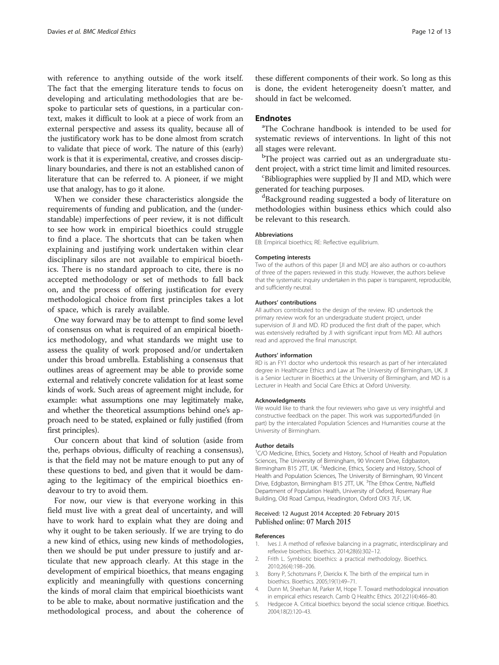<span id="page-12-0"></span>with reference to anything outside of the work itself. The fact that the emerging literature tends to focus on developing and articulating methodologies that are bespoke to particular sets of questions, in a particular context, makes it difficult to look at a piece of work from an external perspective and assess its quality, because all of the justificatory work has to be done almost from scratch to validate that piece of work. The nature of this (early) work is that it is experimental, creative, and crosses disciplinary boundaries, and there is not an established canon of literature that can be referred to. A pioneer, if we might use that analogy, has to go it alone.

When we consider these characteristics alongside the requirements of funding and publication, and the (understandable) imperfections of peer review, it is not difficult to see how work in empirical bioethics could struggle to find a place. The shortcuts that can be taken when explaining and justifying work undertaken within clear disciplinary silos are not available to empirical bioethics. There is no standard approach to cite, there is no accepted methodology or set of methods to fall back on, and the process of offering justification for every methodological choice from first principles takes a lot of space, which is rarely available.

One way forward may be to attempt to find some level of consensus on what is required of an empirical bioethics methodology, and what standards we might use to assess the quality of work proposed and/or undertaken under this broad umbrella. Establishing a consensus that outlines areas of agreement may be able to provide some external and relatively concrete validation for at least some kinds of work. Such areas of agreement might include, for example: what assumptions one may legitimately make, and whether the theoretical assumptions behind one's approach need to be stated, explained or fully justified (from first principles).

Our concern about that kind of solution (aside from the, perhaps obvious, difficulty of reaching a consensus), is that the field may not be mature enough to put any of these questions to bed, and given that it would be damaging to the legitimacy of the empirical bioethics endeavour to try to avoid them.

For now, our view is that everyone working in this field must live with a great deal of uncertainty, and will have to work hard to explain what they are doing and why it ought to be taken seriously. If we are trying to do a new kind of ethics, using new kinds of methodologies, then we should be put under pressure to justify and articulate that new approach clearly. At this stage in the development of empirical bioethics, that means engaging explicitly and meaningfully with questions concerning the kinds of moral claim that empirical bioethicists want to be able to make, about normative justification and the methodological process, and about the coherence of these different components of their work. So long as this is done, the evident heterogeneity doesn't matter, and should in fact be welcomed.

# **Endnotes**

<sup>a</sup>The Cochrane handbook is intended to be used for systematic reviews of interventions. In light of this not all stages were relevant.

<sup>b</sup>The project was carried out as an undergraduate student project, with a strict time limit and limited resources.

 $\Omega$ <sup>c</sup>Bibliographies were supplied by JI and MD, which were generated for teaching purposes.

d Background reading suggested a body of literature on methodologies within business ethics which could also be relevant to this research.

#### Abbreviations

EB: Empirical bioethics; RE: Reflective equilibrium.

#### Competing interests

Two of the authors of this paper [JI and MD] are also authors or co-authors of three of the papers reviewed in this study. However, the authors believe that the systematic inquiry undertaken in this paper is transparent, reproducible, and sufficiently neutral.

#### Authors' contributions

All authors contributed to the design of the review. RD undertook the primary review work for an undergraduate student project, under supervision of JI and MD. RD produced the first draft of the paper, which was extensively redrafted by JI with significant input from MD. All authors read and approved the final manuscript.

#### Authors' information

RD is an FY1 doctor who undertook this research as part of her intercalated degree in Healthcare Ethics and Law at The University of Birmingham, UK. JI is a Senior Lecturer in Bioethics at the University of Birmingham, and MD is a Lecturer in Health and Social Care Ethics at Oxford University.

#### Acknowledgments

We would like to thank the four reviewers who gave us very insightful and constructive feedback on the paper. This work was supported/funded (in part) by the intercalated Population Sciences and Humanities course at the University of Birmingham.

#### Author details

<sup>1</sup>C/O Medicine, Ethics, Society and History, School of Health and Population Sciences, The University of Birmingham, 90 Vincent Drive, Edgbaston, Birmingham B15 2TT, UK. <sup>2</sup>Medicine, Ethics, Society and History, School of Health and Population Sciences, The University of Birmingham, 90 Vincent Drive, Edgbaston, Birmingham B15 2TT, UK. <sup>3</sup>The Ethox Centre, Nuffield Department of Population Health, University of Oxford, Rosemary Rue Building, Old Road Campus, Headington, Oxford OX3 7LF, UK.

#### Received: 12 August 2014 Accepted: 20 February 2015 Published online: 07 March 2015

#### References

- 1. Ives J. A method of reflexive balancing in a pragmatic, interdisciplinary and reflexive bioethics. Bioethics. 2014;28(6):302–12.
- 2. Frith L. Symbiotic bioethics: a practical methodology. Bioethics. 2010;26(4):198–206.
- 3. Borry P, Schotsmans P, Dierickx K. The birth of the empirical turn in bioethics. Bioethics. 2005;19(1):49–71.
- 4. Dunn M, Sheehan M, Parker M, Hope T. Toward methodological innovation in empirical ethics research. Camb Q Healthc Ethics. 2012;21(4):466–80.
- 5. Hedgecoe A. Critical bioethics: beyond the social science critique. Bioethics. 2004;18(2):120–43.